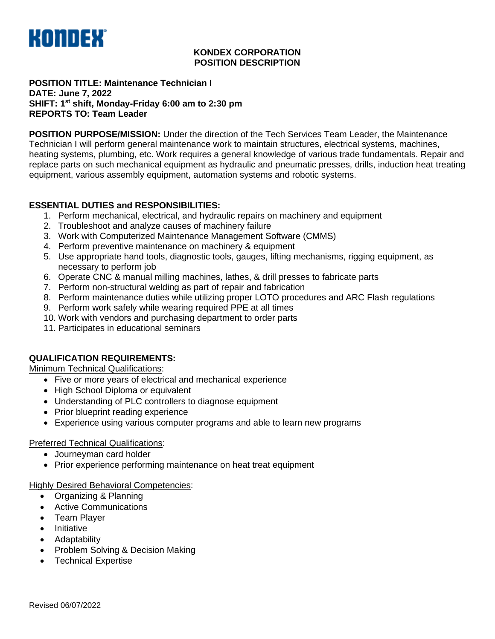

## **KONDEX CORPORATION POSITION DESCRIPTION**

#### **POSITION TITLE: Maintenance Technician I DATE: June 7, 2022 SHIFT: 1st shift, Monday-Friday 6:00 am to 2:30 pm REPORTS TO: Team Leader**

**POSITION PURPOSE/MISSION:** Under the direction of the Tech Services Team Leader, the Maintenance Technician I will perform general maintenance work to maintain structures, electrical systems, machines, heating systems, plumbing, etc. Work requires a general knowledge of various trade fundamentals. Repair and replace parts on such mechanical equipment as hydraulic and pneumatic presses, drills, induction heat treating equipment, various assembly equipment, automation systems and robotic systems.

# **ESSENTIAL DUTIES and RESPONSIBILITIES:**

- 1. Perform mechanical, electrical, and hydraulic repairs on machinery and equipment
- 2. Troubleshoot and analyze causes of machinery failure
- 3. Work with Computerized Maintenance Management Software (CMMS)
- 4. Perform preventive maintenance on machinery & equipment
- 5. Use appropriate hand tools, diagnostic tools, gauges, lifting mechanisms, rigging equipment, as necessary to perform job
- 6. Operate CNC & manual milling machines, lathes, & drill presses to fabricate parts
- 7. Perform non-structural welding as part of repair and fabrication
- 8. Perform maintenance duties while utilizing proper LOTO procedures and ARC Flash regulations
- 9. Perform work safely while wearing required PPE at all times
- 10. Work with vendors and purchasing department to order parts
- 11. Participates in educational seminars

# **QUALIFICATION REQUIREMENTS:**

Minimum Technical Qualifications:

- Five or more years of electrical and mechanical experience
- High School Diploma or equivalent
- Understanding of PLC controllers to diagnose equipment
- Prior blueprint reading experience
- Experience using various computer programs and able to learn new programs

# Preferred Technical Qualifications:

- Journeyman card holder
- Prior experience performing maintenance on heat treat equipment

#### Highly Desired Behavioral Competencies:

- Organizing & Planning
- Active Communications
- Team Player
- Initiative
- Adaptability
- Problem Solving & Decision Making
- Technical Expertise